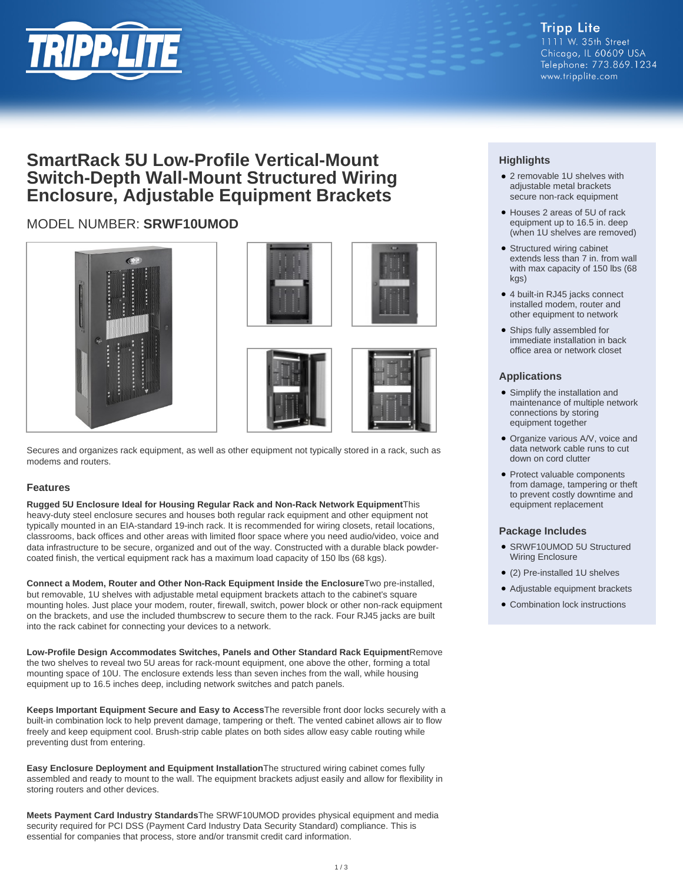

# **SmartRack 5U Low-Profile Vertical-Mount Switch-Depth Wall-Mount Structured Wiring Enclosure, Adjustable Equipment Brackets**

# MODEL NUMBER: **SRWF10UMOD**





Secures and organizes rack equipment, as well as other equipment not typically stored in a rack, such as modems and routers.

### **Features**

**Rugged 5U Enclosure Ideal for Housing Regular Rack and Non-Rack Network Equipment**This heavy-duty steel enclosure secures and houses both regular rack equipment and other equipment not typically mounted in an EIA-standard 19-inch rack. It is recommended for wiring closets, retail locations, classrooms, back offices and other areas with limited floor space where you need audio/video, voice and data infrastructure to be secure, organized and out of the way. Constructed with a durable black powdercoated finish, the vertical equipment rack has a maximum load capacity of 150 lbs (68 kgs).

**Connect a Modem, Router and Other Non-Rack Equipment Inside the Enclosure**Two pre-installed, but removable, 1U shelves with adjustable metal equipment brackets attach to the cabinet's square mounting holes. Just place your modem, router, firewall, switch, power block or other non-rack equipment on the brackets, and use the included thumbscrew to secure them to the rack. Four RJ45 jacks are built into the rack cabinet for connecting your devices to a network.

**Low-Profile Design Accommodates Switches, Panels and Other Standard Rack Equipment**Remove the two shelves to reveal two 5U areas for rack-mount equipment, one above the other, forming a total mounting space of 10U. The enclosure extends less than seven inches from the wall, while housing equipment up to 16.5 inches deep, including network switches and patch panels.

**Keeps Important Equipment Secure and Easy to Access**The reversible front door locks securely with a built-in combination lock to help prevent damage, tampering or theft. The vented cabinet allows air to flow freely and keep equipment cool. Brush-strip cable plates on both sides allow easy cable routing while preventing dust from entering.

**Easy Enclosure Deployment and Equipment Installation**The structured wiring cabinet comes fully assembled and ready to mount to the wall. The equipment brackets adjust easily and allow for flexibility in storing routers and other devices.

**Meets Payment Card Industry Standards**The SRWF10UMOD provides physical equipment and media security required for PCI DSS (Payment Card Industry Data Security Standard) compliance. This is essential for companies that process, store and/or transmit credit card information.

## **Highlights**

- 2 removable 1U shelves with adjustable metal brackets secure non-rack equipment
- Houses 2 areas of 5U of rack equipment up to 16.5 in. deep (when 1U shelves are removed)
- Structured wiring cabinet extends less than 7 in. from wall with max capacity of 150 lbs (68 kgs)
- 4 built-in RJ45 jacks connect installed modem, router and other equipment to network
- Ships fully assembled for immediate installation in back office area or network closet

### **Applications**

- Simplify the installation and maintenance of multiple network connections by storing equipment together
- Organize various A/V, voice and data network cable runs to cut down on cord clutter
- Protect valuable components from damage, tampering or theft to prevent costly downtime and equipment replacement

### **Package Includes**

- SRWF10UMOD 5U Structured Wiring Enclosure
- (2) Pre-installed 1U shelves
- Adjustable equipment brackets
- Combination lock instructions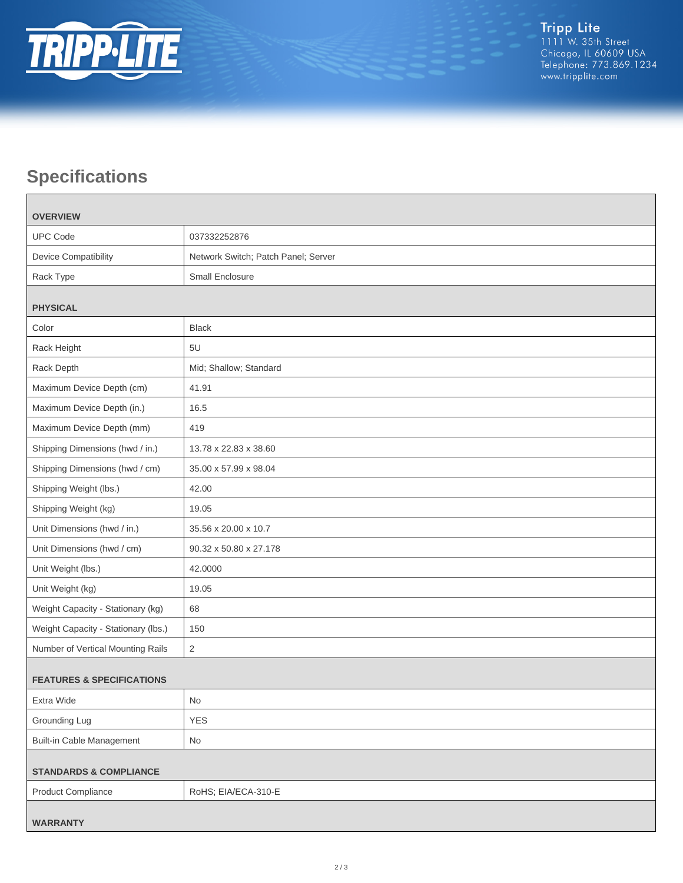

# **Specifications**

| <b>OVERVIEW</b>                      |                                     |
|--------------------------------------|-------------------------------------|
| <b>UPC Code</b>                      | 037332252876                        |
| <b>Device Compatibility</b>          | Network Switch; Patch Panel; Server |
| Rack Type                            | Small Enclosure                     |
| <b>PHYSICAL</b>                      |                                     |
| Color                                | <b>Black</b>                        |
| Rack Height                          | 5U                                  |
| Rack Depth                           | Mid; Shallow; Standard              |
| Maximum Device Depth (cm)            | 41.91                               |
| Maximum Device Depth (in.)           | 16.5                                |
| Maximum Device Depth (mm)            | 419                                 |
| Shipping Dimensions (hwd / in.)      | 13.78 x 22.83 x 38.60               |
| Shipping Dimensions (hwd / cm)       | 35.00 x 57.99 x 98.04               |
| Shipping Weight (lbs.)               | 42.00                               |
| Shipping Weight (kg)                 | 19.05                               |
| Unit Dimensions (hwd / in.)          | 35.56 x 20.00 x 10.7                |
| Unit Dimensions (hwd / cm)           | 90.32 x 50.80 x 27.178              |
| Unit Weight (lbs.)                   | 42.0000                             |
| Unit Weight (kg)                     | 19.05                               |
| Weight Capacity - Stationary (kg)    | 68                                  |
| Weight Capacity - Stationary (lbs.)  | 150                                 |
| Number of Vertical Mounting Rails    | $\sqrt{2}$                          |
| <b>FEATURES &amp; SPECIFICATIONS</b> |                                     |
| Extra Wide                           | $\mathsf{No}$                       |
| Grounding Lug                        | <b>YES</b>                          |
| <b>Built-in Cable Management</b>     | No                                  |
| <b>STANDARDS &amp; COMPLIANCE</b>    |                                     |
| <b>Product Compliance</b>            | RoHS; EIA/ECA-310-E                 |
| <b>WARRANTY</b>                      |                                     |